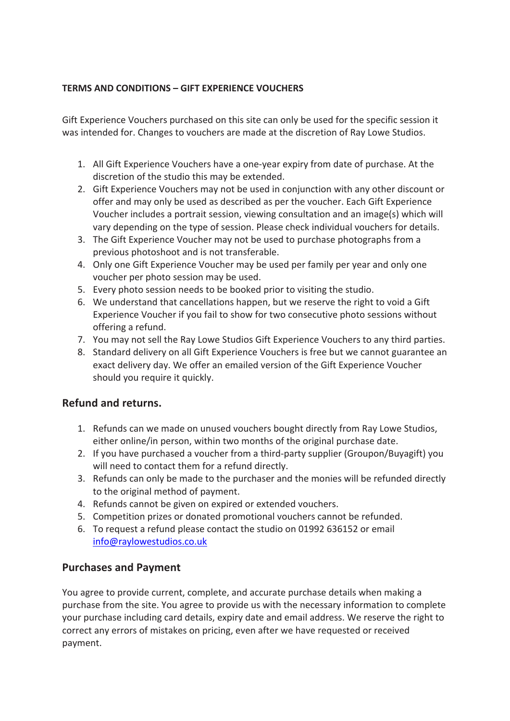## **TERMS AND CONDITIONS – GIFT EXPERIENCE VOUCHERS**

Gift Experience Vouchers purchased on this site can only be used for the specific session it was intended for. Changes to vouchers are made at the discretion of Ray Lowe Studios.

- 1. All Gift Experience Vouchers have a one-year expiry from date of purchase. At the discretion of the studio this may be extended.
- 2. Gift Experience Vouchers may not be used in conjunction with any other discount or offer and may only be used as described as per the voucher. Each Gift Experience Voucher includes a portrait session, viewing consultation and an image(s) which will vary depending on the type of session. Please check individual vouchers for details.
- 3. The Gift Experience Voucher may not be used to purchase photographs from a previous photoshoot and is not transferable.
- 4. Only one Gift Experience Voucher may be used per family per year and only one voucher per photo session may be used.
- 5. Every photo session needs to be booked prior to visiting the studio.
- 6. We understand that cancellations happen, but we reserve the right to void a Gift Experience Voucher if you fail to show for two consecutive photo sessions without offering a refund.
- 7. You may not sell the Ray Lowe Studios Gift Experience Vouchers to any third parties.
- 8. Standard delivery on all Gift Experience Vouchers is free but we cannot guarantee an exact delivery day. We offer an emailed version of the Gift Experience Voucher should you require it quickly.

## **Refund and returns.**

- 1. Refunds can we made on unused vouchers bought directly from Ray Lowe Studios, either online/in person, within two months of the original purchase date.
- 2. If you have purchased a voucher from a third-party supplier (Groupon/Buyagift) you will need to contact them for a refund directly.
- 3. Refunds can only be made to the purchaser and the monies will be refunded directly to the original method of payment.
- 4. Refunds cannot be given on expired or extended vouchers.
- 5. Competition prizes or donated promotional vouchers cannot be refunded.
- 6. To request a refund please contact the studio on 01992 636152 or email info@raylowestudios.co.uk

## **Purchases and Payment**

You agree to provide current, complete, and accurate purchase details when making a purchase from the site. You agree to provide us with the necessary information to complete your purchase including card details, expiry date and email address. We reserve the right to correct any errors of mistakes on pricing, even after we have requested or received payment.